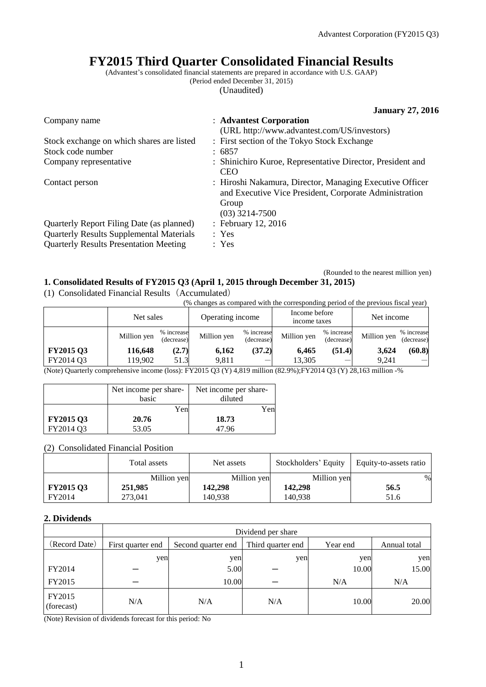# **FY2015 Third Quarter Consolidated Financial Results**

(Advantest's consolidated financial statements are prepared in accordance with U.S. GAAP)

(Period ended December 31, 2015)

(Unaudited)

|                                                 | <b>January 27, 2016</b>                                                                                                                         |
|-------------------------------------------------|-------------------------------------------------------------------------------------------------------------------------------------------------|
| Company name                                    | : Advantest Corporation                                                                                                                         |
|                                                 | (URL http://www.advantest.com/US/investors)                                                                                                     |
| Stock exchange on which shares are listed       | : First section of the Tokyo Stock Exchange                                                                                                     |
| Stock code number                               | : 6857                                                                                                                                          |
| Company representative                          | : Shinichiro Kuroe, Representative Director, President and<br><b>CEO</b>                                                                        |
| Contact person                                  | : Hiroshi Nakamura, Director, Managing Executive Officer<br>and Executive Vice President, Corporate Administration<br>Group<br>$(03)$ 3214-7500 |
| Quarterly Report Filing Date (as planned)       | : February 12, 2016                                                                                                                             |
| <b>Quarterly Results Supplemental Materials</b> | : Yes                                                                                                                                           |
| <b>Quarterly Results Presentation Meeting</b>   | : Yes                                                                                                                                           |

### (Rounded to the nearest million yen) **1. Consolidated Results of FY2015 Q3 (April 1, 2015 through December 31, 2015)**

(1) Consolidated Financial Results(Accumulated)

(% changes as compared with the corresponding period of the previous fiscal year)

| Million yen | (decrease) | Million yen | (decrease) | Million yen      | (decrease)           | Million yen                   | % increase<br>(decrease)           |
|-------------|------------|-------------|------------|------------------|----------------------|-------------------------------|------------------------------------|
| 116.648     | (2.7)      | 6.162       |            | 6.465            |                      | 3.624                         | (60.8)                             |
| 119.902     | 51.3       | 9.811       |            | 13.305           |                      | 9.241                         |                                    |
|             |            | Net sales   | % increase | Operating income | % increase<br>(37.2) | Income before<br>income taxes | Net income<br>% increase<br>(51.4) |

(Note) Quarterly comprehensive income (loss): FY2015 Q3 (Y) 4,819 million (82.9%);FY2014 Q3 (Y) 28,163 million -%

|                  | Net income per share-<br>basic | Net income per share-<br>diluted |
|------------------|--------------------------------|----------------------------------|
|                  | Yen                            | Yen                              |
| <b>FY2015 Q3</b> | 20.76                          | 18.73                            |
| FY2014 Q3        | 53.05                          | 47.96                            |

### (2) Consolidated Financial Position

|                  | Total assets | Net assets  | Stockholders' Equity | Equity-to-assets ratio |
|------------------|--------------|-------------|----------------------|------------------------|
|                  | Million yen  | Million yen | Million yen          | %                      |
| <b>FY2015 Q3</b> | 251,985      | 142,298     | 142,298              | 56.5                   |
| FY2014           | 273,041      | 140.938     | 140.938              | 51.6                   |

### **2. Dividends**

|                      | Dividend per share |                    |                   |          |              |  |
|----------------------|--------------------|--------------------|-------------------|----------|--------------|--|
| (Record Date)        | First quarter end  | Second quarter end | Third quarter end | Year end | Annual total |  |
|                      | yen                | yen                | yen               | yen      | yen          |  |
| FY2014               |                    | 5.00               |                   | 10.00    | 15.00        |  |
| FY2015               |                    | 10.00              |                   | N/A      | N/A          |  |
| FY2015<br>(forecast) | N/A                | N/A                | N/A               | 10.00    | 20.00        |  |

(Note) Revision of dividends forecast for this period: No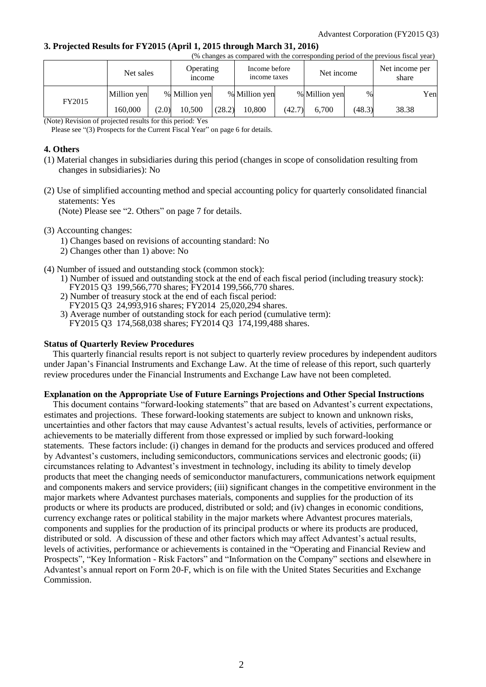### **3. Projected Results for FY2015 (April 1, 2015 through March 31, 2016)**

|        | (% changes as compared with the corresponding period of the previous fiscal year) |       |                                   |        |                                             |        |               |                         |       |     |
|--------|-----------------------------------------------------------------------------------|-------|-----------------------------------|--------|---------------------------------------------|--------|---------------|-------------------------|-------|-----|
|        | Net sales                                                                         |       | <b>Operating</b><br><i>n</i> come |        | Income before<br>Net income<br>income taxes |        |               | Net income per<br>share |       |     |
| FY2015 | Million yen                                                                       |       | % Million yen                     |        | % Million yen                               |        | % Million yen | $\%$                    |       | Yen |
|        | 160.000                                                                           | (2.0) | 10.500                            | (28.2) | 10.800                                      | (42.7) | 6.700         | (48.3)                  | 38.38 |     |

(Note) Revision of projected results for this period: Yes

Please see "(3) Prospects for the Current Fiscal Year" on page 6 for details.

#### **4. Others**

- (1) Material changes in subsidiaries during this period (changes in scope of consolidation resulting from changes in subsidiaries): No
- (2) Use of simplified accounting method and special accounting policy for quarterly consolidated financial statements: Yes

(Note) Please see "2. Others" on page 7 for details.

(3) Accounting changes:

- 1) Changes based on revisions of accounting standard: No
- 2) Changes other than 1) above: No
- (4) Number of issued and outstanding stock (common stock):
	- 1) Number of issued and outstanding stock at the end of each fiscal period (including treasury stock): FY2015 Q3 199,566,770 shares; FY2014 199,566,770 shares.
	- 2) Number of treasury stock at the end of each fiscal period:
	- FY2015 Q3 24,993,916 shares; FY2014 25,020,294 shares.
	- 3) Average number of outstanding stock for each period (cumulative term): FY2015 Q3 174,568,038 shares; FY2014 Q3 174,199,488 shares.

### **Status of Quarterly Review Procedures**

This quarterly financial results report is not subject to quarterly review procedures by independent auditors under Japan's Financial Instruments and Exchange Law. At the time of release of this report, such quarterly review procedures under the Financial Instruments and Exchange Law have not been completed.

### **Explanation on the Appropriate Use of Future Earnings Projections and Other Special Instructions**

This document contains "forward-looking statements" that are based on Advantest's current expectations, estimates and projections. These forward-looking statements are subject to known and unknown risks, uncertainties and other factors that may cause Advantest's actual results, levels of activities, performance or achievements to be materially different from those expressed or implied by such forward-looking statements. These factors include: (i) changes in demand for the products and services produced and offered by Advantest's customers, including semiconductors, communications services and electronic goods; (ii) circumstances relating to Advantest's investment in technology, including its ability to timely develop products that meet the changing needs of semiconductor manufacturers, communications network equipment and components makers and service providers; (iii) significant changes in the competitive environment in the major markets where Advantest purchases materials, components and supplies for the production of its products or where its products are produced, distributed or sold; and (iv) changes in economic conditions, currency exchange rates or political stability in the major markets where Advantest procures materials, components and supplies for the production of its principal products or where its products are produced, distributed or sold. A discussion of these and other factors which may affect Advantest's actual results, levels of activities, performance or achievements is contained in the "Operating and Financial Review and Prospects", "Key Information - Risk Factors" and "Information on the Company" sections and elsewhere in Advantest's annual report on Form 20-F, which is on file with the United States Securities and Exchange Commission.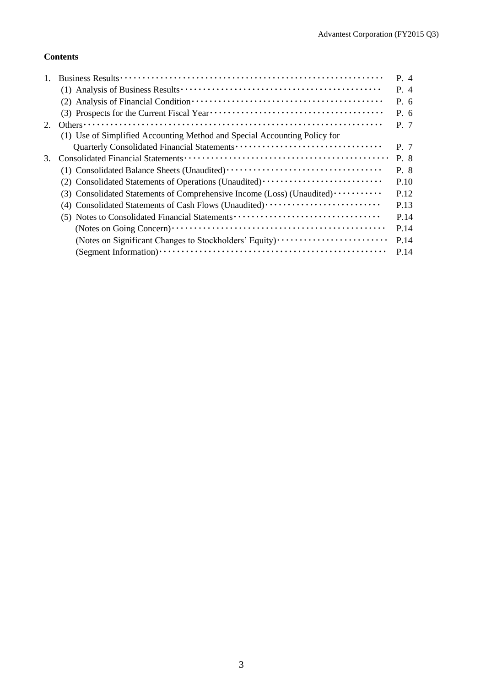## **Contents**

|    |                                                                           | P. 4      |
|----|---------------------------------------------------------------------------|-----------|
|    |                                                                           | $P_4$     |
|    |                                                                           | $P_{0.6}$ |
|    |                                                                           | $P_{0.6}$ |
| 2. |                                                                           | P. 7      |
|    | (1) Use of Simplified Accounting Method and Special Accounting Policy for |           |
|    |                                                                           | P. 7      |
| 3. |                                                                           | P. 8      |
|    |                                                                           | P. 8      |
|    | (2) Consolidated Statements of Operations (Unaudited)                     | P.10      |
|    | (3) Consolidated Statements of Comprehensive Income (Loss) (Unaudited)    | P.12      |
|    | (4) Consolidated Statements of Cash Flows (Unaudited)                     | P.13      |
|    | (5) Notes to Consolidated Financial Statements                            | P.14      |
|    |                                                                           | P.14      |
|    | (Notes on Significant Changes to Stockholders' Equity)                    | P.14      |
|    |                                                                           | P.14      |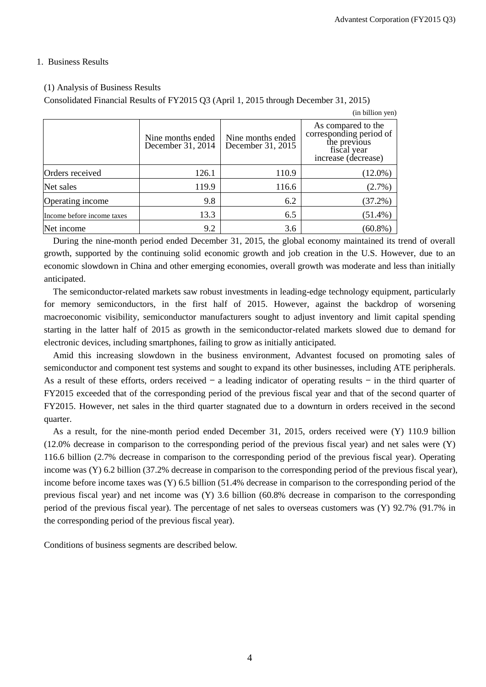### 1. Business Results

## (1) Analysis of Business Results

Consolidated Financial Results of FY2015 Q3 (April 1, 2015 through December 31, 2015)

|                            |                                        |                                        | (in billion yen)                                                                                    |
|----------------------------|----------------------------------------|----------------------------------------|-----------------------------------------------------------------------------------------------------|
|                            | Nine months ended<br>December 31, 2014 | Nine months ended<br>December 31, 2015 | As compared to the<br>corresponding period of<br>the previous<br>fiscal year<br>increase (decrease) |
| Orders received            | 126.1                                  | 110.9                                  | $(12.0\%)$                                                                                          |
| Net sales                  | 119.9                                  | 116.6                                  | $(2.7\%)$                                                                                           |
| Operating income           | 9.8                                    | 6.2                                    | $(37.2\%)$                                                                                          |
| Income before income taxes | 13.3                                   | 6.5                                    | $(51.4\%)$                                                                                          |
| Net income                 | 9.2                                    | 3.6                                    | $(60.8\%)$                                                                                          |

During the nine-month period ended December 31, 2015, the global economy maintained its trend of overall growth, supported by the continuing solid economic growth and job creation in the U.S. However, due to an economic slowdown in China and other emerging economies, overall growth was moderate and less than initially anticipated.

The semiconductor-related markets saw robust investments in leading-edge technology equipment, particularly for memory semiconductors, in the first half of 2015. However, against the backdrop of worsening macroeconomic visibility, semiconductor manufacturers sought to adjust inventory and limit capital spending starting in the latter half of 2015 as growth in the semiconductor-related markets slowed due to demand for electronic devices, including smartphones, failing to grow as initially anticipated.

Amid this increasing slowdown in the business environment, Advantest focused on promoting sales of semiconductor and component test systems and sought to expand its other businesses, including ATE peripherals. As a result of these efforts, orders received  $-$  a leading indicator of operating results  $-$  in the third quarter of FY2015 exceeded that of the corresponding period of the previous fiscal year and that of the second quarter of FY2015. However, net sales in the third quarter stagnated due to a downturn in orders received in the second quarter.

As a result, for the nine-month period ended December 31, 2015, orders received were (Y) 110.9 billion (12.0% decrease in comparison to the corresponding period of the previous fiscal year) and net sales were (Y) 116.6 billion (2.7% decrease in comparison to the corresponding period of the previous fiscal year). Operating income was (Y) 6.2 billion (37.2% decrease in comparison to the corresponding period of the previous fiscal year), income before income taxes was (Y) 6.5 billion (51.4% decrease in comparison to the corresponding period of the previous fiscal year) and net income was (Y) 3.6 billion (60.8% decrease in comparison to the corresponding period of the previous fiscal year). The percentage of net sales to overseas customers was (Y) 92.7% (91.7% in the corresponding period of the previous fiscal year).

Conditions of business segments are described below.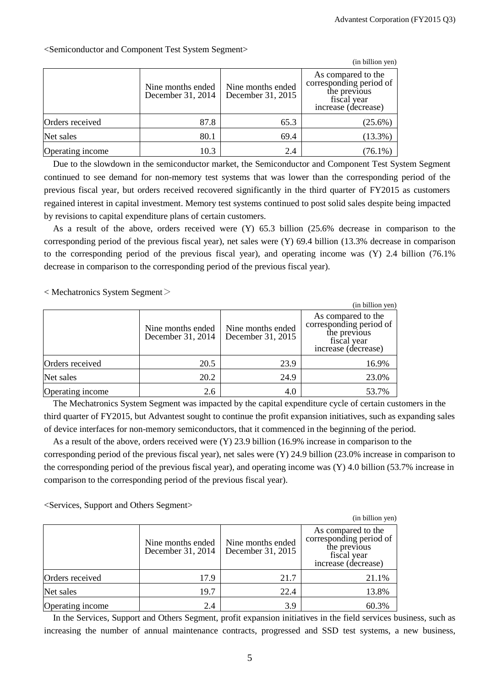$\alpha$  in billion yen)

|                  |                                        |                                        | (in billion yen)                                                                                    |
|------------------|----------------------------------------|----------------------------------------|-----------------------------------------------------------------------------------------------------|
|                  | Nine months ended<br>December 31, 2014 | Nine months ended<br>December 31, 2015 | As compared to the<br>corresponding period of<br>the previous<br>fiscal year<br>increase (decrease) |
| Orders received  | 87.8                                   | 65.3                                   | $(25.6\%)$                                                                                          |
| Net sales        | 80.1                                   | 69.4                                   | $(13.3\%)$                                                                                          |
| Operating income | 10.3                                   | 2.4                                    | $(76.1\%)$                                                                                          |

<Semiconductor and Component Test System Segment>

Due to the slowdown in the semiconductor market, the Semiconductor and Component Test System Segment continued to see demand for non-memory test systems that was lower than the corresponding period of the previous fiscal year, but orders received recovered significantly in the third quarter of FY2015 as customers regained interest in capital investment. Memory test systems continued to post solid sales despite being impacted by revisions to capital expenditure plans of certain customers.

As a result of the above, orders received were (Y) 65.3 billion (25.6% decrease in comparison to the corresponding period of the previous fiscal year), net sales were (Y) 69.4 billion (13.3% decrease in comparison to the corresponding period of the previous fiscal year), and operating income was (Y) 2.4 billion (76.1% decrease in comparison to the corresponding period of the previous fiscal year).

 $<$  Mechatronics System Segment $>$ 

|                  |                                        |                                        | (in billion yen)                                                                                    |
|------------------|----------------------------------------|----------------------------------------|-----------------------------------------------------------------------------------------------------|
|                  | Nine months ended<br>December 31, 2014 | Nine months ended<br>December 31, 2015 | As compared to the<br>corresponding period of<br>the previous<br>fiscal year<br>increase (decrease) |
| Orders received  | 20.5                                   | 23.9                                   | 16.9%                                                                                               |
| Net sales        | 20.2                                   | 24.9                                   | 23.0%                                                                                               |
| Operating income | 2.6                                    | 4.0                                    | 53.7%                                                                                               |

The Mechatronics System Segment was impacted by the capital expenditure cycle of certain customers in the third quarter of FY2015, but Advantest sought to continue the profit expansion initiatives, such as expanding sales of device interfaces for non-memory semiconductors, that it commenced in the beginning of the period.

As a result of the above, orders received were (Y) 23.9 billion (16.9% increase in comparison to the corresponding period of the previous fiscal year), net sales were (Y) 24.9 billion (23.0% increase in comparison to the corresponding period of the previous fiscal year), and operating income was (Y) 4.0 billion (53.7% increase in comparison to the corresponding period of the previous fiscal year).

<Services, Support and Others Segment>

|                  |                                        |                                        | (in billion yen)                                                                                    |
|------------------|----------------------------------------|----------------------------------------|-----------------------------------------------------------------------------------------------------|
|                  | Nine months ended<br>December 31, 2014 | Nine months ended<br>December 31, 2015 | As compared to the<br>corresponding period of<br>the previous<br>fiscal year<br>increase (decrease) |
| Orders received  | 17.9                                   | 21.7                                   | 21.1%                                                                                               |
| Net sales        | 19.7                                   | 22.4                                   | 13.8%                                                                                               |
| Operating income | 2.4                                    | 3.9                                    | 60.3%                                                                                               |

In the Services, Support and Others Segment, profit expansion initiatives in the field services business, such as increasing the number of annual maintenance contracts, progressed and SSD test systems, a new business,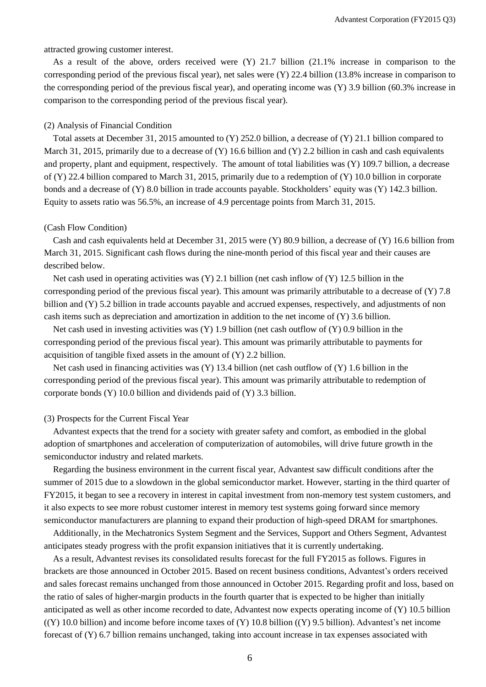attracted growing customer interest.

As a result of the above, orders received were (Y) 21.7 billion (21.1% increase in comparison to the corresponding period of the previous fiscal year), net sales were (Y) 22.4 billion (13.8% increase in comparison to the corresponding period of the previous fiscal year), and operating income was (Y) 3.9 billion (60.3% increase in comparison to the corresponding period of the previous fiscal year).

#### (2) Analysis of Financial Condition

Total assets at December 31, 2015 amounted to (Y) 252.0 billion, a decrease of (Y) 21.1 billion compared to March 31, 2015, primarily due to a decrease of  $(Y)$  16.6 billion and  $(Y)$  2.2 billion in cash and cash equivalents and property, plant and equipment, respectively. The amount of total liabilities was (Y) 109.7 billion, a decrease of (Y) 22.4 billion compared to March 31, 2015, primarily due to a redemption of (Y) 10.0 billion in corporate bonds and a decrease of (Y) 8.0 billion in trade accounts payable. Stockholders' equity was (Y) 142.3 billion. Equity to assets ratio was 56.5%, an increase of 4.9 percentage points from March 31, 2015.

### (Cash Flow Condition)

Cash and cash equivalents held at December 31, 2015 were (Y) 80.9 billion, a decrease of (Y) 16.6 billion from March 31, 2015. Significant cash flows during the nine-month period of this fiscal year and their causes are described below.

Net cash used in operating activities was  $(Y)$  2.1 billion (net cash inflow of  $(Y)$  12.5 billion in the corresponding period of the previous fiscal year). This amount was primarily attributable to a decrease of (Y) 7.8 billion and (Y) 5.2 billion in trade accounts payable and accrued expenses, respectively, and adjustments of non cash items such as depreciation and amortization in addition to the net income of (Y) 3.6 billion.

Net cash used in investing activities was (Y) 1.9 billion (net cash outflow of (Y) 0.9 billion in the corresponding period of the previous fiscal year). This amount was primarily attributable to payments for acquisition of tangible fixed assets in the amount of (Y) 2.2 billion.

Net cash used in financing activities was (Y) 13.4 billion (net cash outflow of (Y) 1.6 billion in the corresponding period of the previous fiscal year). This amount was primarily attributable to redemption of corporate bonds (Y) 10.0 billion and dividends paid of (Y) 3.3 billion.

#### (3) Prospects for the Current Fiscal Year

Advantest expects that the trend for a society with greater safety and comfort, as embodied in the global adoption of smartphones and acceleration of computerization of automobiles, will drive future growth in the semiconductor industry and related markets.

Regarding the business environment in the current fiscal year, Advantest saw difficult conditions after the summer of 2015 due to a slowdown in the global semiconductor market. However, starting in the third quarter of FY2015, it began to see a recovery in interest in capital investment from non-memory test system customers, and it also expects to see more robust customer interest in memory test systems going forward since memory semiconductor manufacturers are planning to expand their production of high-speed DRAM for smartphones.

Additionally, in the Mechatronics System Segment and the Services, Support and Others Segment, Advantest anticipates steady progress with the profit expansion initiatives that it is currently undertaking.

As a result, Advantest revises its consolidated results forecast for the full FY2015 as follows. Figures in brackets are those announced in October 2015. Based on recent business conditions, Advantest's orders received and sales forecast remains unchanged from those announced in October 2015. Regarding profit and loss, based on the ratio of sales of higher-margin products in the fourth quarter that is expected to be higher than initially anticipated as well as other income recorded to date, Advantest now expects operating income of (Y) 10.5 billion  $((Y) 10.0 0)$  billion) and income before income taxes of  $(Y) 10.8 0$  billion  $((Y) 9.5 0)$  billion). Advantest's net income forecast of (Y) 6.7 billion remains unchanged, taking into account increase in tax expenses associated with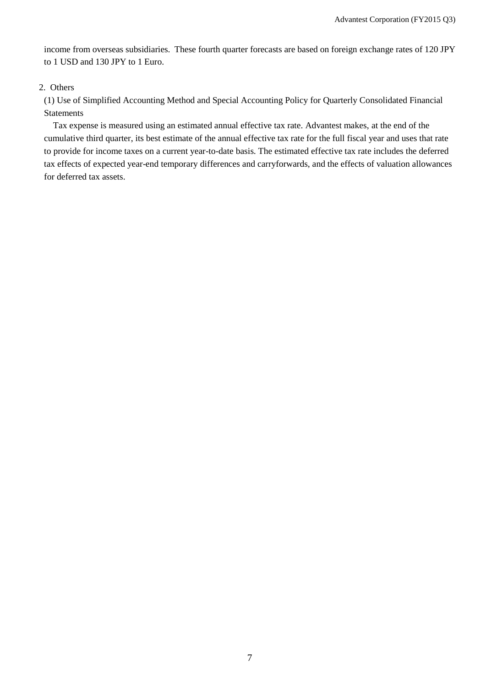income from overseas subsidiaries. These fourth quarter forecasts are based on foreign exchange rates of 120 JPY to 1 USD and 130 JPY to 1 Euro.

## 2. Others

(1) Use of Simplified Accounting Method and Special Accounting Policy for Quarterly Consolidated Financial Statements

Tax expense is measured using an estimated annual effective tax rate. Advantest makes, at the end of the cumulative third quarter, its best estimate of the annual effective tax rate for the full fiscal year and uses that rate to provide for income taxes on a current year-to-date basis. The estimated effective tax rate includes the deferred tax effects of expected year-end temporary differences and carryforwards, and the effects of valuation allowances for deferred tax assets.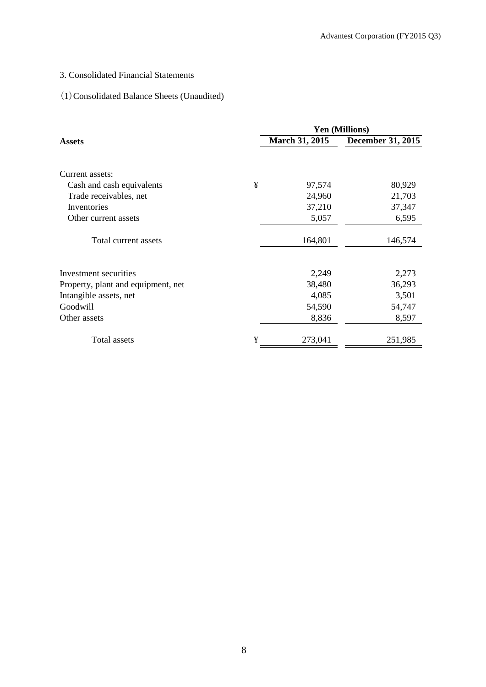## 3. Consolidated Financial Statements

# (1)Consolidated Balance Sheets (Unaudited)

|                                    |   |                | Yen (Millions)    |
|------------------------------------|---|----------------|-------------------|
| <b>Assets</b>                      |   | March 31, 2015 | December 31, 2015 |
| Current assets:                    |   |                |                   |
| Cash and cash equivalents          | ¥ | 97,574         | 80,929            |
| Trade receivables, net             |   | 24,960         | 21,703            |
| Inventories                        |   | 37,210         | 37,347            |
| Other current assets               |   | 5,057          | 6,595             |
| Total current assets               |   | 164,801        | 146,574           |
| Investment securities              |   | 2,249          | 2,273             |
| Property, plant and equipment, net |   | 38,480         | 36,293            |
| Intangible assets, net             |   | 4,085          | 3,501             |
| Goodwill                           |   | 54,590         | 54,747            |
| Other assets                       |   | 8,836          | 8,597             |
| Total assets                       | ¥ | 273,041        | 251,985           |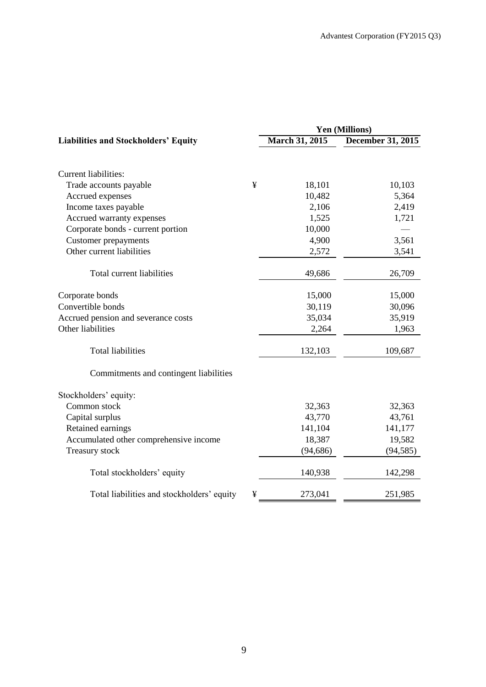|                                                 | <b>Yen (Millions)</b> |                          |  |  |
|-------------------------------------------------|-----------------------|--------------------------|--|--|
| <b>Liabilities and Stockholders' Equity</b>     | <b>March 31, 2015</b> | <b>December 31, 2015</b> |  |  |
|                                                 |                       |                          |  |  |
| <b>Current liabilities:</b>                     |                       |                          |  |  |
| ¥<br>Trade accounts payable                     | 18,101                | 10,103                   |  |  |
| Accrued expenses                                | 10,482                | 5,364                    |  |  |
| Income taxes payable                            | 2,106                 | 2,419                    |  |  |
| Accrued warranty expenses                       | 1,525                 | 1,721                    |  |  |
| Corporate bonds - current portion               | 10,000                |                          |  |  |
| <b>Customer</b> prepayments                     | 4,900                 | 3,561                    |  |  |
| Other current liabilities                       | 2,572                 | 3,541                    |  |  |
| Total current liabilities                       | 49,686                | 26,709                   |  |  |
| Corporate bonds                                 | 15,000                | 15,000                   |  |  |
| Convertible bonds                               | 30,119                | 30,096                   |  |  |
| Accrued pension and severance costs             | 35,034                | 35,919                   |  |  |
| Other liabilities                               | 2,264                 | 1,963                    |  |  |
| <b>Total liabilities</b>                        | 132,103               | 109,687                  |  |  |
| Commitments and contingent liabilities          |                       |                          |  |  |
| Stockholders' equity:                           |                       |                          |  |  |
| Common stock                                    | 32,363                | 32,363                   |  |  |
| Capital surplus                                 | 43,770                | 43,761                   |  |  |
| Retained earnings                               | 141,104               | 141,177                  |  |  |
| Accumulated other comprehensive income          | 18,387                | 19,582                   |  |  |
| Treasury stock                                  | (94, 686)             | (94, 585)                |  |  |
| Total stockholders' equity                      | 140,938               | 142,298                  |  |  |
| Total liabilities and stockholders' equity<br>¥ | 273,041               | 251,985                  |  |  |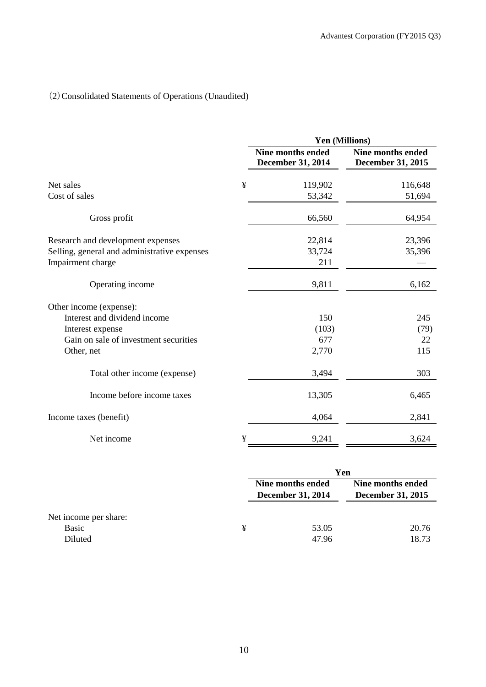# (2)Consolidated Statements of Operations (Unaudited)

|                                              |   | <b>Yen (Millions)</b>                         |                                               |
|----------------------------------------------|---|-----------------------------------------------|-----------------------------------------------|
|                                              |   | <b>Nine months ended</b><br>December 31, 2014 | <b>Nine months ended</b><br>December 31, 2015 |
| Net sales                                    | ¥ | 119,902                                       | 116,648                                       |
| Cost of sales                                |   | 53,342                                        | 51,694                                        |
| Gross profit                                 |   | 66,560                                        | 64,954                                        |
| Research and development expenses            |   | 22,814                                        | 23,396                                        |
| Selling, general and administrative expenses |   | 33,724<br>211                                 | 35,396                                        |
| Impairment charge                            |   |                                               |                                               |
| Operating income                             |   | 9,811                                         | 6,162                                         |
| Other income (expense):                      |   |                                               |                                               |
| Interest and dividend income                 |   | 150                                           | 245                                           |
| Interest expense                             |   | (103)                                         | (79)                                          |
| Gain on sale of investment securities        |   | 677                                           | 22                                            |
| Other, net                                   |   | 2,770                                         | 115                                           |
| Total other income (expense)                 |   | 3,494                                         | 303                                           |
| Income before income taxes                   |   | 13,305                                        | 6,465                                         |
| Income taxes (benefit)                       |   | 4,064                                         | 2,841                                         |
| Net income                                   | ¥ | 9,241                                         | 3,624                                         |

|   | Yen   |                                                        |  |  |
|---|-------|--------------------------------------------------------|--|--|
|   |       | Nine months ended<br><b>December 31, 2015</b>          |  |  |
| ¥ | 53.05 | 20.76<br>18.73                                         |  |  |
|   |       | Nine months ended<br><b>December 31, 2014</b><br>47.96 |  |  |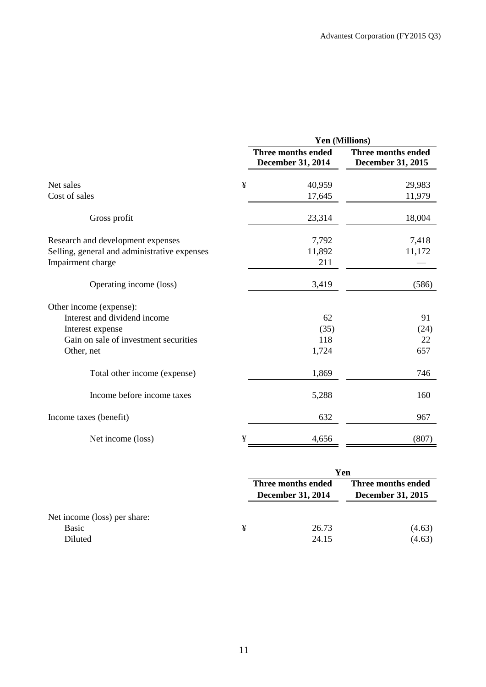|                                              |   |                                         | Yen (Millions)                          |
|----------------------------------------------|---|-----------------------------------------|-----------------------------------------|
|                                              |   | Three months ended<br>December 31, 2014 | Three months ended<br>December 31, 2015 |
| Net sales                                    | ¥ | 40,959                                  | 29,983                                  |
| Cost of sales                                |   | 17,645                                  | 11,979                                  |
| Gross profit                                 |   | 23,314                                  | 18,004                                  |
| Research and development expenses            |   | 7,792                                   | 7,418                                   |
| Selling, general and administrative expenses |   | 11,892                                  | 11,172                                  |
| Impairment charge                            |   | 211                                     |                                         |
| Operating income (loss)                      |   | 3,419                                   | (586)                                   |
| Other income (expense):                      |   |                                         |                                         |
| Interest and dividend income                 |   | 62                                      | 91                                      |
| Interest expense                             |   | (35)                                    | (24)                                    |
| Gain on sale of investment securities        |   | 118                                     | 22                                      |
| Other, net                                   |   | 1,724                                   | 657                                     |
| Total other income (expense)                 |   | 1,869                                   | 746                                     |
| Income before income taxes                   |   | 5,288                                   | 160                                     |
| Income taxes (benefit)                       |   | 632                                     | 967                                     |
| Net income (loss)                            | ¥ | 4,656                                   | (807)                                   |

|                                                  |   | Yen                                            |                                                |  |
|--------------------------------------------------|---|------------------------------------------------|------------------------------------------------|--|
|                                                  |   | Three months ended<br><b>December 31, 2014</b> | Three months ended<br><b>December 31, 2015</b> |  |
| Net income (loss) per share:<br>Basic<br>Diluted | ¥ | 26.73<br>24.15                                 | (4.63)<br>(4.63)                               |  |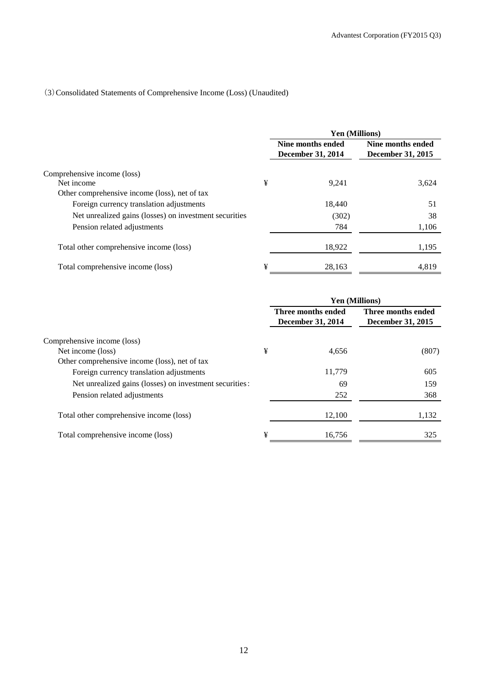## (3)Consolidated Statements of Comprehensive Income (Loss) (Unaudited)

|                                                        |   | Yen (Millions)                         |                                        |
|--------------------------------------------------------|---|----------------------------------------|----------------------------------------|
|                                                        |   | Nine months ended<br>December 31, 2014 | Nine months ended<br>December 31, 2015 |
| Comprehensive income (loss)                            |   |                                        |                                        |
| Net income                                             | ¥ | 9.241                                  | 3,624                                  |
| Other comprehensive income (loss), net of tax          |   |                                        |                                        |
| Foreign currency translation adjustments               |   | 18.440                                 | 51                                     |
| Net unrealized gains (losses) on investment securities |   | (302)                                  | 38                                     |
| Pension related adjustments                            |   | 784                                    | 1,106                                  |
| Total other comprehensive income (loss)                |   | 18,922                                 | 1,195                                  |
| Total comprehensive income (loss)                      | ¥ | 28,163                                 | 4,819                                  |

|                                                         |   |                                         | Yen (Millions)                          |
|---------------------------------------------------------|---|-----------------------------------------|-----------------------------------------|
|                                                         |   | Three months ended<br>December 31, 2014 | Three months ended<br>December 31, 2015 |
| Comprehensive income (loss)                             |   |                                         |                                         |
| Net income (loss)                                       | ¥ | 4.656                                   | (807)                                   |
| Other comprehensive income (loss), net of tax           |   |                                         |                                         |
| Foreign currency translation adjustments                |   | 11,779                                  | 605                                     |
| Net unrealized gains (losses) on investment securities: |   | 69                                      | 159                                     |
| Pension related adjustments                             |   | 252                                     | 368                                     |
| Total other comprehensive income (loss)                 |   | 12,100                                  | 1,132                                   |
| Total comprehensive income (loss)                       | ¥ | 16.756                                  | 325                                     |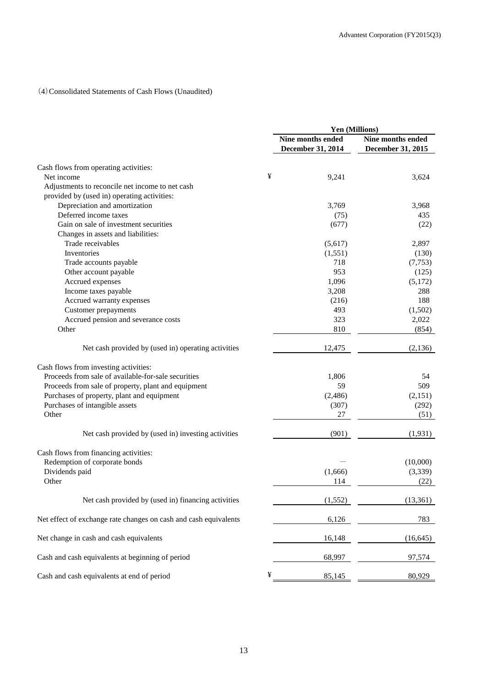## (4)Consolidated Statements of Cash Flows (Unaudited)

|                                                                  |   | Yen (Millions)                         |                                        |
|------------------------------------------------------------------|---|----------------------------------------|----------------------------------------|
|                                                                  |   | Nine months ended<br>December 31, 2014 | Nine months ended<br>December 31, 2015 |
|                                                                  |   |                                        |                                        |
| Cash flows from operating activities:                            |   |                                        |                                        |
| Net income                                                       | ¥ | 9,241                                  | 3,624                                  |
| Adjustments to reconcile net income to net cash                  |   |                                        |                                        |
| provided by (used in) operating activities:                      |   |                                        |                                        |
| Depreciation and amortization                                    |   | 3,769                                  | 3,968                                  |
| Deferred income taxes                                            |   | (75)                                   | 435                                    |
| Gain on sale of investment securities                            |   | (677)                                  | (22)                                   |
| Changes in assets and liabilities:                               |   |                                        |                                        |
| Trade receivables                                                |   | (5,617)                                | 2,897                                  |
| Inventories                                                      |   | (1,551)                                | (130)                                  |
| Trade accounts payable                                           |   | 718                                    | (7, 753)                               |
| Other account payable                                            |   | 953                                    | (125)                                  |
| Accrued expenses                                                 |   | 1,096                                  | (5,172)                                |
| Income taxes payable                                             |   | 3,208                                  | 288                                    |
| Accrued warranty expenses                                        |   | (216)                                  | 188                                    |
| Customer prepayments                                             |   | 493                                    | (1,502)                                |
| Accrued pension and severance costs                              |   | 323                                    | 2,022                                  |
| Other                                                            |   | 810                                    | (854)                                  |
| Net cash provided by (used in) operating activities              |   | 12,475                                 | (2, 136)                               |
|                                                                  |   |                                        |                                        |
| Cash flows from investing activities:                            |   |                                        |                                        |
| Proceeds from sale of available-for-sale securities              |   | 1,806                                  | 54                                     |
| Proceeds from sale of property, plant and equipment              |   | 59                                     | 509                                    |
| Purchases of property, plant and equipment                       |   | (2, 486)                               | (2,151)                                |
| Purchases of intangible assets                                   |   | (307)                                  | (292)                                  |
| Other                                                            |   | 27                                     | (51)                                   |
| Net cash provided by (used in) investing activities              |   | (901)                                  | (1,931)                                |
|                                                                  |   |                                        |                                        |
| Cash flows from financing activities:                            |   |                                        |                                        |
| Redemption of corporate bonds                                    |   |                                        | (10,000)                               |
| Dividends paid                                                   |   | (1,666)                                | (3,339)                                |
| Other                                                            |   | 114                                    | (22)                                   |
| Net cash provided by (used in) financing activities              |   | (1, 552)                               | (13, 361)                              |
| Net effect of exchange rate changes on cash and cash equivalents |   | 6,126                                  | 783                                    |
| Net change in cash and cash equivalents                          |   | 16,148                                 | (16, 645)                              |
| Cash and cash equivalents at beginning of period                 |   | 68,997                                 | 97,574                                 |
| Cash and cash equivalents at end of period                       | ¥ | 85,145                                 | 80,929                                 |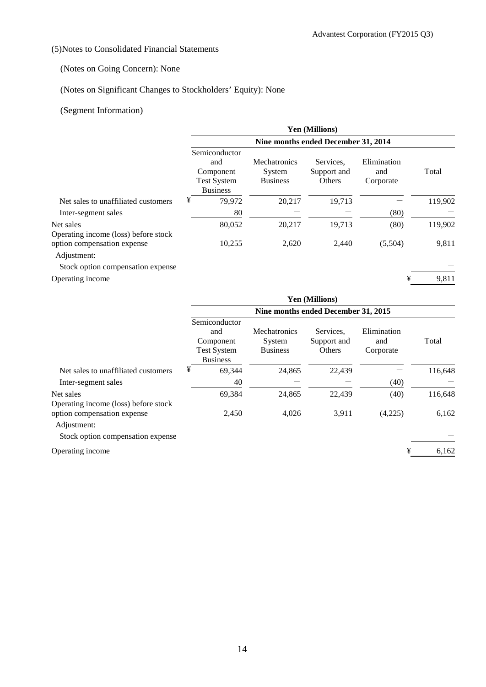## (5)Notes to Consolidated Financial Statements

## (Notes on Going Concern): None

## (Notes on Significant Changes to Stockholders' Equity): None

## (Segment Information)

|                                                   |                                                                            |                                           | Yen (Millions)                     |                                 |         |  |  |
|---------------------------------------------------|----------------------------------------------------------------------------|-------------------------------------------|------------------------------------|---------------------------------|---------|--|--|
|                                                   | Nine months ended December 31, 2014                                        |                                           |                                    |                                 |         |  |  |
|                                                   | Semiconductor<br>and<br>Component<br><b>Test System</b><br><b>Business</b> | Mechatronics<br>System<br><b>Business</b> | Services.<br>Support and<br>Others | Elimination<br>and<br>Corporate | Total   |  |  |
| Net sales to unaffiliated customers               | ¥<br>79,972                                                                | 20,217                                    | 19,713                             |                                 | 119,902 |  |  |
| Inter-segment sales                               | 80                                                                         |                                           |                                    | (80)                            |         |  |  |
| Net sales<br>Operating income (loss) before stock | 80,052                                                                     | 20,217                                    | 19,713                             | (80)                            | 119,902 |  |  |
| option compensation expense<br>Adjustment:        | 10,255                                                                     | 2,620                                     | 2,440                              | (5,504)                         | 9,811   |  |  |
| Stock option compensation expense                 |                                                                            |                                           |                                    |                                 |         |  |  |
| Operating income                                  |                                                                            |                                           |                                    | ¥                               | 9,811   |  |  |

|                                                   | Yen (Millions)                      |                                                                            |                                           |                                    |                                 |         |  |
|---------------------------------------------------|-------------------------------------|----------------------------------------------------------------------------|-------------------------------------------|------------------------------------|---------------------------------|---------|--|
|                                                   | Nine months ended December 31, 2015 |                                                                            |                                           |                                    |                                 |         |  |
|                                                   |                                     | Semiconductor<br>and<br>Component<br><b>Test System</b><br><b>Business</b> | Mechatronics<br>System<br><b>Business</b> | Services.<br>Support and<br>Others | Elimination<br>and<br>Corporate | Total   |  |
| Net sales to unaffiliated customers               | ¥                                   | 69,344                                                                     | 24,865                                    | 22,439                             |                                 | 116,648 |  |
| Inter-segment sales                               |                                     | 40                                                                         |                                           |                                    | (40)                            |         |  |
| Net sales<br>Operating income (loss) before stock |                                     | 69,384                                                                     | 24.865                                    | 22.439                             | (40)                            | 116,648 |  |
| option compensation expense<br>Adjustment:        |                                     | 2,450                                                                      | 4,026                                     | 3,911                              | (4,225)                         | 6,162   |  |

Stock option compensation expense

Operating income  $\frac{4}{10}$  6,162